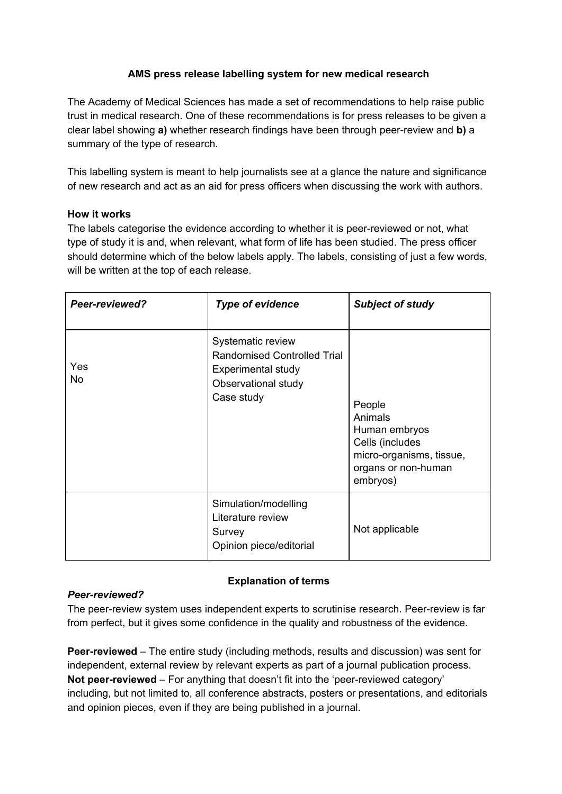## **AMS press release labelling system for new medical research**

The Academy of Medical Sciences has made a set of recommendations to help raise public trust in medical research. One of these recommendations is for press releases to be given a clear label showing **a)** whether research findings have been through peer-review and **b)** a summary of the type of research.

This labelling system is meant to help journalists see at a glance the nature and significance of new research and act as an aid for press officers when discussing the work with authors.

## **How it works**

The labels categorise the evidence according to whether it is peer-reviewed or not, what type of study it is and, when relevant, what form of life has been studied. The press officer should determine which of the below labels apply. The labels, consisting of just a few words, will be written at the top of each release.

| Peer-reviewed?   | <b>Type of evidence</b>                                                                                            | <b>Subject of study</b>                                                                                              |
|------------------|--------------------------------------------------------------------------------------------------------------------|----------------------------------------------------------------------------------------------------------------------|
| Yes<br><b>No</b> | Systematic review<br>Randomised Controlled Trial<br><b>Experimental study</b><br>Observational study<br>Case study | People<br>Animals<br>Human embryos<br>Cells (includes<br>micro-organisms, tissue,<br>organs or non-human<br>embryos) |
|                  | Simulation/modelling<br>Literature review<br>Survey<br>Opinion piece/editorial                                     | Not applicable                                                                                                       |

# **Explanation of terms**

## *Peer-reviewed?*

The peer-review system uses independent experts to scrutinise research. Peer-review is far from perfect, but it gives some confidence in the quality and robustness of the evidence.

**Peer-reviewed** – The entire study (including methods, results and discussion) was sent for independent, external review by relevant experts as part of a journal publication process. **Not peer-reviewed** – For anything that doesn't fit into the 'peer-reviewed category' including, but not limited to, all conference abstracts, posters or presentations, and editorials and opinion pieces, even if they are being published in a journal.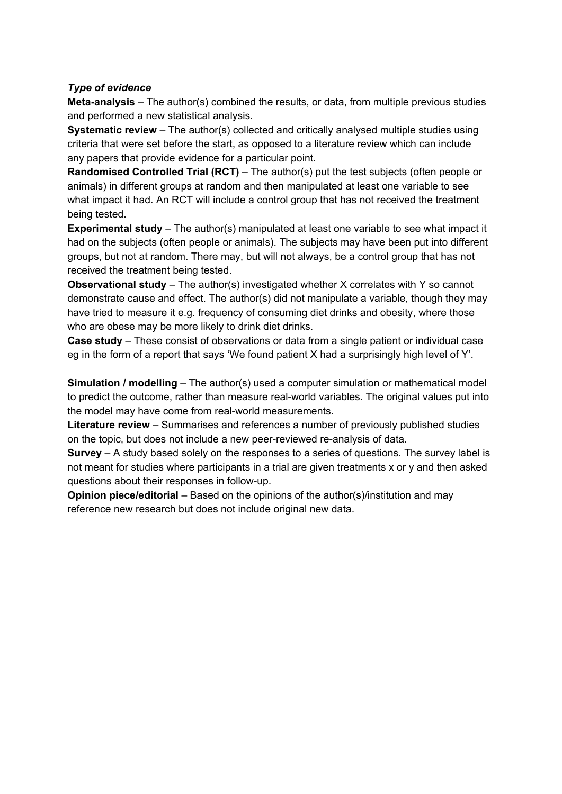#### *Type of evidence*

**Meta-analysis** – The author(s) combined the results, or data, from multiple previous studies and performed a new statistical analysis.

**Systematic review** – The author(s) collected and critically analysed multiple studies using criteria that were set before the start, as opposed to a literature review which can include any papers that provide evidence for a particular point.

**Randomised Controlled Trial (RCT)** – The author(s) put the test subjects (often people or animals) in different groups at random and then manipulated at least one variable to see what impact it had. An RCT will include a control group that has not received the treatment being tested.

**Experimental study** – The author(s) manipulated at least one variable to see what impact it had on the subjects (often people or animals). The subjects may have been put into different groups, but not at random. There may, but will not always, be a control group that has not received the treatment being tested.

**Observational study** – The author(s) investigated whether X correlates with Y so cannot demonstrate cause and effect. The author(s) did not manipulate a variable, though they may have tried to measure it e.g. frequency of consuming diet drinks and obesity, where those who are obese may be more likely to drink diet drinks.

**Case study** – These consist of observations or data from a single patient or individual case eg in the form of a report that says 'We found patient X had a surprisingly high level of Y'.

**Simulation / modelling** – The author(s) used a computer simulation or mathematical model to predict the outcome, rather than measure real-world variables. The original values put into the model may have come from real-world measurements.

**Literature review** – Summarises and references a number of previously published studies on the topic, but does not include a new peer-reviewed re-analysis of data.

**Survey** – A study based solely on the responses to a series of questions. The survey label is not meant for studies where participants in a trial are given treatments x or y and then asked questions about their responses in follow-up.

**Opinion piece/editorial** – Based on the opinions of the author(s)/institution and may reference new research but does not include original new data.